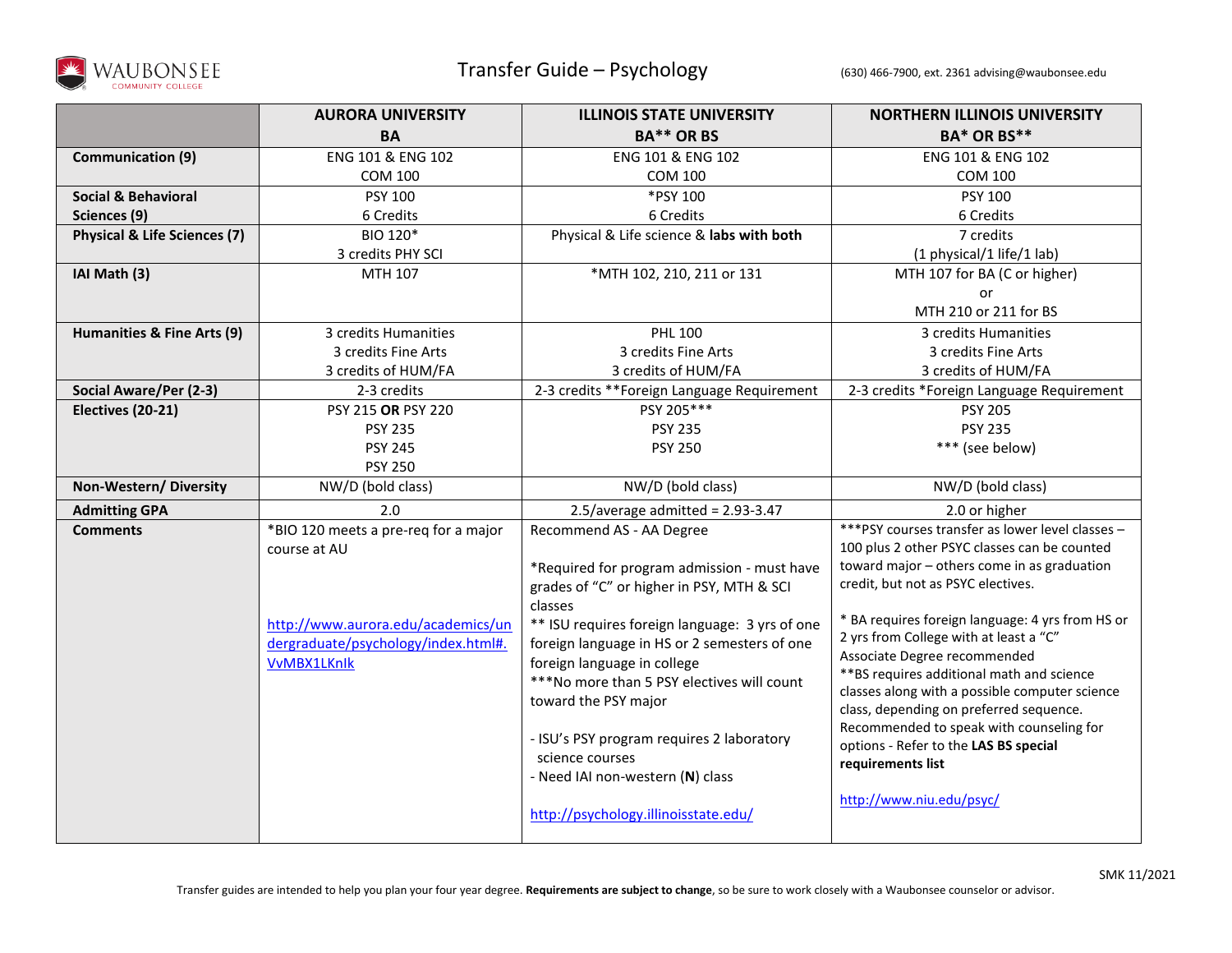

|                                         | <b>AURORA UNIVERSITY</b>             | <b>ILLINOIS STATE UNIVERSITY</b>                             | <b>NORTHERN ILLINOIS UNIVERSITY</b>               |
|-----------------------------------------|--------------------------------------|--------------------------------------------------------------|---------------------------------------------------|
|                                         | <b>BA</b>                            | <b>BA** OR BS</b>                                            | <b>BA* OR BS**</b>                                |
| <b>Communication (9)</b>                | ENG 101 & ENG 102                    | ENG 101 & ENG 102                                            | ENG 101 & ENG 102                                 |
|                                         | <b>COM 100</b>                       | <b>COM 100</b>                                               | <b>COM 100</b>                                    |
| <b>Social &amp; Behavioral</b>          | PSY 100                              | *PSY 100                                                     | PSY 100                                           |
| Sciences (9)                            | 6 Credits                            | 6 Credits                                                    | 6 Credits                                         |
| <b>Physical &amp; Life Sciences (7)</b> | BIO 120*                             | Physical & Life science & labs with both                     | 7 credits                                         |
|                                         | 3 credits PHY SCI                    |                                                              | (1 physical/1 life/1 lab)                         |
| IAI Math (3)                            | MTH 107                              | *MTH 102, 210, 211 or 131                                    | MTH 107 for BA (C or higher)                      |
|                                         |                                      |                                                              | or                                                |
|                                         |                                      |                                                              | MTH 210 or 211 for BS                             |
| Humanities & Fine Arts (9)              | 3 credits Humanities                 | <b>PHL 100</b>                                               | 3 credits Humanities                              |
|                                         | 3 credits Fine Arts                  | 3 credits Fine Arts                                          | 3 credits Fine Arts                               |
|                                         | 3 credits of HUM/FA                  | 3 credits of HUM/FA                                          | 3 credits of HUM/FA                               |
| Social Aware/Per (2-3)                  | 2-3 credits                          | 2-3 credits ** Foreign Language Requirement                  | 2-3 credits *Foreign Language Requirement         |
| Electives (20-21)                       | PSY 215 OR PSY 220                   | PSY 205***                                                   | <b>PSY 205</b>                                    |
|                                         | <b>PSY 235</b>                       | <b>PSY 235</b>                                               | <b>PSY 235</b>                                    |
|                                         | <b>PSY 245</b>                       | <b>PSY 250</b>                                               | *** (see below)                                   |
|                                         | <b>PSY 250</b>                       |                                                              |                                                   |
| Non-Western/Diversity                   | NW/D (bold class)                    | NW/D (bold class)                                            | NW/D (bold class)                                 |
| <b>Admitting GPA</b>                    | 2.0                                  | $2.5/average$ admitted = 2.93-3.47                           | 2.0 or higher                                     |
| <b>Comments</b>                         | *BIO 120 meets a pre-req for a major | Recommend AS - AA Degree                                     | *** PSY courses transfer as lower level classes - |
|                                         | course at AU                         |                                                              | 100 plus 2 other PSYC classes can be counted      |
|                                         |                                      | *Required for program admission - must have                  | toward major - others come in as graduation       |
|                                         |                                      | grades of "C" or higher in PSY, MTH & SCI                    | credit, but not as PSYC electives.                |
|                                         |                                      | classes                                                      | * BA requires foreign language: 4 yrs from HS or  |
|                                         | http://www.aurora.edu/academics/un   | ** ISU requires foreign language: 3 yrs of one               | 2 yrs from College with at least a "C"            |
|                                         | dergraduate/psychology/index.html#.  | foreign language in HS or 2 semesters of one                 | Associate Degree recommended                      |
|                                         | <b>VvMBX1LKnlk</b>                   | foreign language in college                                  | ** BS requires additional math and science        |
|                                         |                                      | ***No more than 5 PSY electives will count                   | classes along with a possible computer science    |
|                                         |                                      | toward the PSY major                                         | class, depending on preferred sequence.           |
|                                         |                                      |                                                              | Recommended to speak with counseling for          |
|                                         |                                      | - ISU's PSY program requires 2 laboratory<br>science courses | options - Refer to the LAS BS special             |
|                                         |                                      | - Need IAI non-western (N) class                             | requirements list                                 |
|                                         |                                      |                                                              |                                                   |
|                                         |                                      | http://psychology.illinoisstate.edu/                         | http://www.niu.edu/psyc/                          |
|                                         |                                      |                                                              |                                                   |
|                                         |                                      |                                                              |                                                   |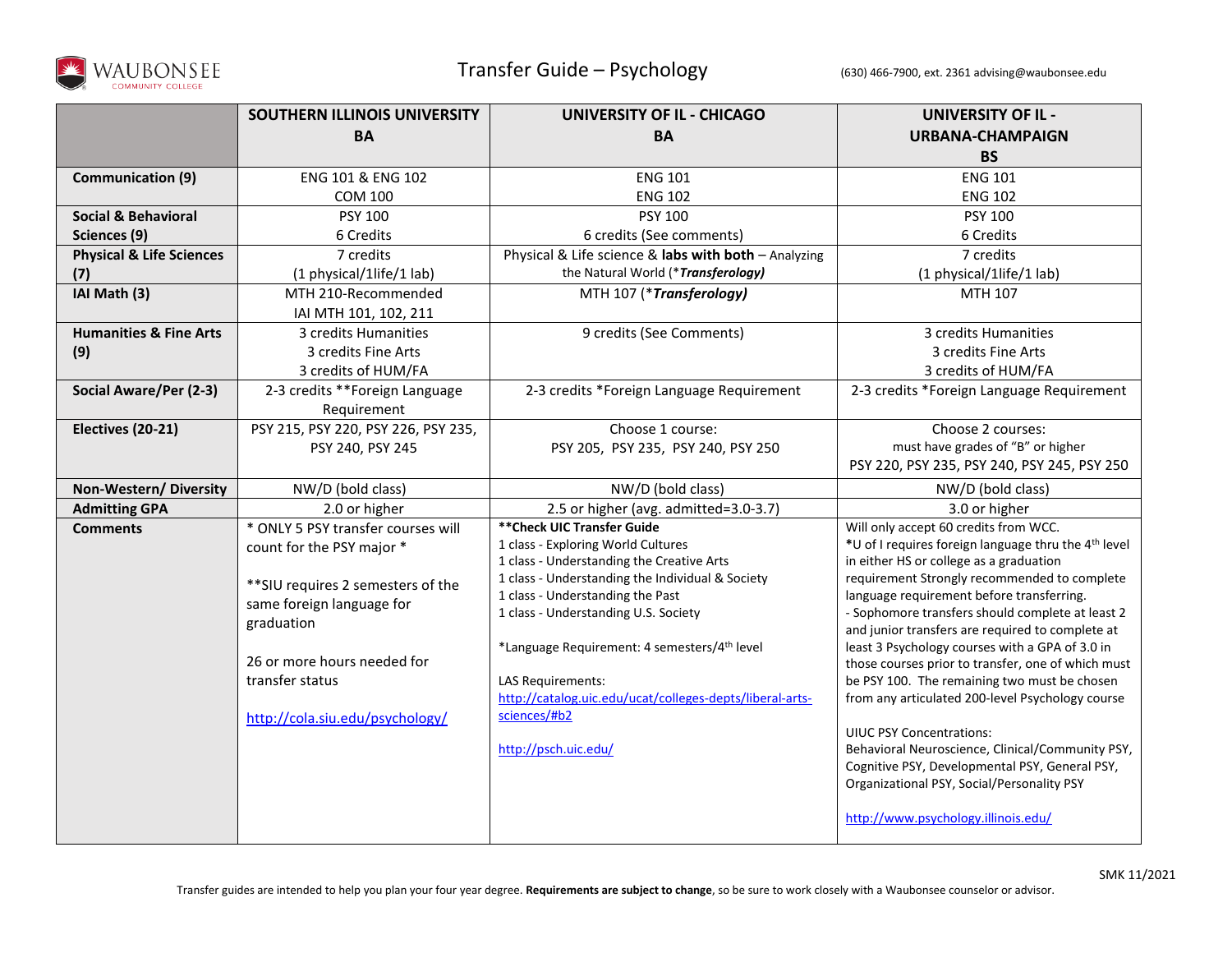

|                                     | SOUTHERN ILLINOIS UNIVERSITY        | <b>UNIVERSITY OF IL - CHICAGO</b>                                                             | <b>UNIVERSITY OF IL -</b>                                                               |
|-------------------------------------|-------------------------------------|-----------------------------------------------------------------------------------------------|-----------------------------------------------------------------------------------------|
|                                     | <b>BA</b>                           | <b>BA</b>                                                                                     | <b>URBANA-CHAMPAIGN</b>                                                                 |
|                                     |                                     |                                                                                               | <b>BS</b>                                                                               |
| <b>Communication (9)</b>            | ENG 101 & ENG 102                   | <b>ENG 101</b>                                                                                | <b>ENG 101</b>                                                                          |
|                                     | <b>COM 100</b>                      | <b>ENG 102</b>                                                                                | <b>ENG 102</b>                                                                          |
| <b>Social &amp; Behavioral</b>      | <b>PSY 100</b>                      | <b>PSY 100</b>                                                                                | PSY 100                                                                                 |
| Sciences (9)                        | 6 Credits                           | 6 credits (See comments)                                                                      | 6 Credits                                                                               |
| <b>Physical &amp; Life Sciences</b> | 7 credits                           | Physical & Life science & labs with both - Analyzing                                          | 7 credits                                                                               |
| (7)                                 | (1 physical/1life/1 lab)            | the Natural World (*Transferology)                                                            | (1 physical/1life/1 lab)                                                                |
| IAI Math (3)                        | MTH 210-Recommended                 | MTH 107 (*Transferology)                                                                      | MTH 107                                                                                 |
|                                     | IAI MTH 101, 102, 211               |                                                                                               |                                                                                         |
| <b>Humanities &amp; Fine Arts</b>   | 3 credits Humanities                | 9 credits (See Comments)                                                                      | 3 credits Humanities                                                                    |
| (9)                                 | 3 credits Fine Arts                 |                                                                                               | 3 credits Fine Arts                                                                     |
|                                     | 3 credits of HUM/FA                 |                                                                                               | 3 credits of HUM/FA                                                                     |
| Social Aware/Per (2-3)              | 2-3 credits **Foreign Language      | 2-3 credits *Foreign Language Requirement                                                     | 2-3 credits *Foreign Language Requirement                                               |
|                                     | Requirement                         |                                                                                               |                                                                                         |
| Electives (20-21)                   | PSY 215, PSY 220, PSY 226, PSY 235, | Choose 1 course:                                                                              | Choose 2 courses:                                                                       |
|                                     | PSY 240, PSY 245                    | PSY 205, PSY 235, PSY 240, PSY 250                                                            | must have grades of "B" or higher                                                       |
|                                     |                                     |                                                                                               | PSY 220, PSY 235, PSY 240, PSY 245, PSY 250                                             |
| Non-Western/Diversity               | NW/D (bold class)                   | NW/D (bold class)                                                                             | NW/D (bold class)                                                                       |
| <b>Admitting GPA</b>                | 2.0 or higher                       | 2.5 or higher (avg. admitted=3.0-3.7)                                                         | 3.0 or higher                                                                           |
| <b>Comments</b>                     | * ONLY 5 PSY transfer courses will  | ** Check UIC Transfer Guide                                                                   | Will only accept 60 credits from WCC.                                                   |
|                                     | count for the PSY major *           | 1 class - Exploring World Cultures                                                            | *U of I requires foreign language thru the 4 <sup>th</sup> level                        |
|                                     |                                     | 1 class - Understanding the Creative Arts<br>1 class - Understanding the Individual & Society | in either HS or college as a graduation<br>requirement Strongly recommended to complete |
|                                     | ** SIU requires 2 semesters of the  | 1 class - Understanding the Past                                                              | language requirement before transferring.                                               |
|                                     | same foreign language for           | 1 class - Understanding U.S. Society                                                          | - Sophomore transfers should complete at least 2                                        |
|                                     | graduation                          |                                                                                               | and junior transfers are required to complete at                                        |
|                                     |                                     | *Language Requirement: 4 semesters/4 <sup>th</sup> level                                      | least 3 Psychology courses with a GPA of 3.0 in                                         |
|                                     | 26 or more hours needed for         |                                                                                               | those courses prior to transfer, one of which must                                      |
|                                     | transfer status                     | <b>LAS Requirements:</b>                                                                      | be PSY 100. The remaining two must be chosen                                            |
|                                     |                                     | http://catalog.uic.edu/ucat/colleges-depts/liberal-arts-<br>sciences/#b2                      | from any articulated 200-level Psychology course                                        |
|                                     | http://cola.siu.edu/psychology/     |                                                                                               | <b>UIUC PSY Concentrations:</b>                                                         |
|                                     |                                     | http://psch.uic.edu/                                                                          | Behavioral Neuroscience, Clinical/Community PSY,                                        |
|                                     |                                     |                                                                                               | Cognitive PSY, Developmental PSY, General PSY,                                          |
|                                     |                                     |                                                                                               | Organizational PSY, Social/Personality PSY                                              |
|                                     |                                     |                                                                                               |                                                                                         |
|                                     |                                     |                                                                                               | http://www.psychology.illinois.edu/                                                     |
|                                     |                                     |                                                                                               |                                                                                         |